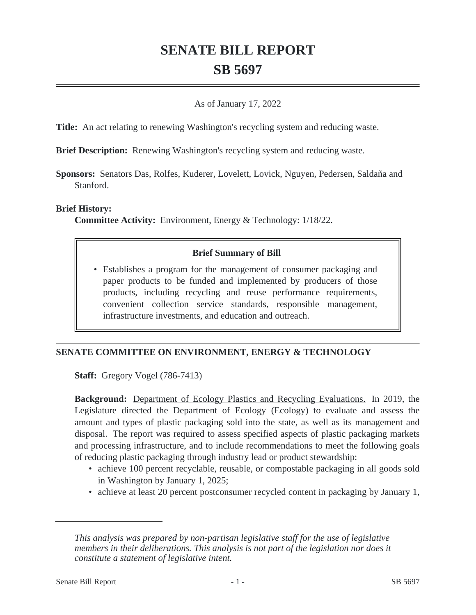# **SENATE BILL REPORT SB 5697**

### As of January 17, 2022

**Title:** An act relating to renewing Washington's recycling system and reducing waste.

**Brief Description:** Renewing Washington's recycling system and reducing waste.

**Sponsors:** Senators Das, Rolfes, Kuderer, Lovelett, Lovick, Nguyen, Pedersen, Saldaña and Stanford.

#### **Brief History:**

**Committee Activity:** Environment, Energy & Technology: 1/18/22.

#### **Brief Summary of Bill**

• Establishes a program for the management of consumer packaging and paper products to be funded and implemented by producers of those products, including recycling and reuse performance requirements, convenient collection service standards, responsible management, infrastructure investments, and education and outreach.

#### **SENATE COMMITTEE ON ENVIRONMENT, ENERGY & TECHNOLOGY**

**Staff:** Gregory Vogel (786-7413)

**Background:** Department of Ecology Plastics and Recycling Evaluations. In 2019, the Legislature directed the Department of Ecology (Ecology) to evaluate and assess the amount and types of plastic packaging sold into the state, as well as its management and disposal. The report was required to assess specified aspects of plastic packaging markets and processing infrastructure, and to include recommendations to meet the following goals of reducing plastic packaging through industry lead or product stewardship:

- achieve 100 percent recyclable, reusable, or compostable packaging in all goods sold in Washington by January 1, 2025;
- achieve at least 20 percent postconsumer recycled content in packaging by January 1,

*This analysis was prepared by non-partisan legislative staff for the use of legislative members in their deliberations. This analysis is not part of the legislation nor does it constitute a statement of legislative intent.*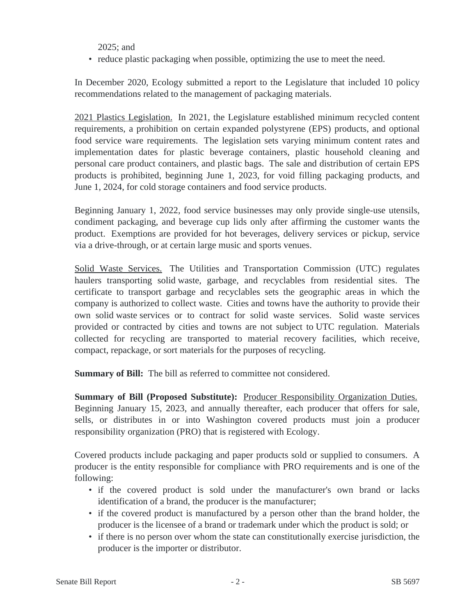2025; and

• reduce plastic packaging when possible, optimizing the use to meet the need.

In December 2020, Ecology submitted a report to the Legislature that included 10 policy recommendations related to the management of packaging materials.

2021 Plastics Legislation. In 2021, the Legislature established minimum recycled content requirements, a prohibition on certain expanded polystyrene (EPS) products, and optional food service ware requirements. The legislation sets varying minimum content rates and implementation dates for plastic beverage containers, plastic household cleaning and personal care product containers, and plastic bags. The sale and distribution of certain EPS products is prohibited, beginning June 1, 2023, for void filling packaging products, and June 1, 2024, for cold storage containers and food service products.

Beginning January 1, 2022, food service businesses may only provide single-use utensils, condiment packaging, and beverage cup lids only after affirming the customer wants the product. Exemptions are provided for hot beverages, delivery services or pickup, service via a drive-through, or at certain large music and sports venues.

Solid Waste Services. The Utilities and Transportation Commission (UTC) regulates haulers transporting solid waste, garbage, and recyclables from residential sites. The certificate to transport garbage and recyclables sets the geographic areas in which the company is authorized to collect waste. Cities and towns have the authority to provide their own solid waste services or to contract for solid waste services. Solid waste services provided or contracted by cities and towns are not subject to UTC regulation. Materials collected for recycling are transported to material recovery facilities, which receive, compact, repackage, or sort materials for the purposes of recycling.

**Summary of Bill:** The bill as referred to committee not considered.

**Summary of Bill (Proposed Substitute):** Producer Responsibility Organization Duties. Beginning January 15, 2023, and annually thereafter, each producer that offers for sale, sells, or distributes in or into Washington covered products must join a producer responsibility organization (PRO) that is registered with Ecology.

Covered products include packaging and paper products sold or supplied to consumers. A producer is the entity responsible for compliance with PRO requirements and is one of the following:

- if the covered product is sold under the manufacturer's own brand or lacks identification of a brand, the producer is the manufacturer;
- if the covered product is manufactured by a person other than the brand holder, the producer is the licensee of a brand or trademark under which the product is sold; or
- if there is no person over whom the state can constitutionally exercise jurisdiction, the producer is the importer or distributor.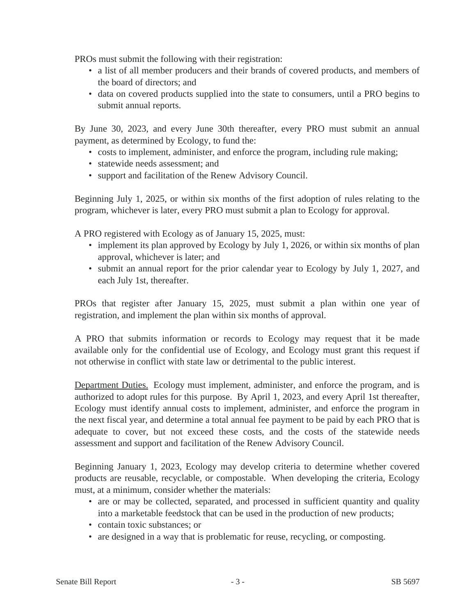PROs must submit the following with their registration:

- a list of all member producers and their brands of covered products, and members of the board of directors; and
- data on covered products supplied into the state to consumers, until a PRO begins to submit annual reports.

By June 30, 2023, and every June 30th thereafter, every PRO must submit an annual payment, as determined by Ecology, to fund the:

- costs to implement, administer, and enforce the program, including rule making;
- statewide needs assessment: and
- support and facilitation of the Renew Advisory Council.

Beginning July 1, 2025, or within six months of the first adoption of rules relating to the program, whichever is later, every PRO must submit a plan to Ecology for approval.

A PRO registered with Ecology as of January 15, 2025, must:

- implement its plan approved by Ecology by July 1, 2026, or within six months of plan approval, whichever is later; and
- submit an annual report for the prior calendar year to Ecology by July 1, 2027, and each July 1st, thereafter.

PROs that register after January 15, 2025, must submit a plan within one year of registration, and implement the plan within six months of approval.

A PRO that submits information or records to Ecology may request that it be made available only for the confidential use of Ecology, and Ecology must grant this request if not otherwise in conflict with state law or detrimental to the public interest.

Department Duties. Ecology must implement, administer, and enforce the program, and is authorized to adopt rules for this purpose. By April 1, 2023, and every April 1st thereafter, Ecology must identify annual costs to implement, administer, and enforce the program in the next fiscal year, and determine a total annual fee payment to be paid by each PRO that is adequate to cover, but not exceed these costs, and the costs of the statewide needs assessment and support and facilitation of the Renew Advisory Council.

Beginning January 1, 2023, Ecology may develop criteria to determine whether covered products are reusable, recyclable, or compostable. When developing the criteria, Ecology must, at a minimum, consider whether the materials:

- are or may be collected, separated, and processed in sufficient quantity and quality into a marketable feedstock that can be used in the production of new products;
- contain toxic substances: or
- are designed in a way that is problematic for reuse, recycling, or composting.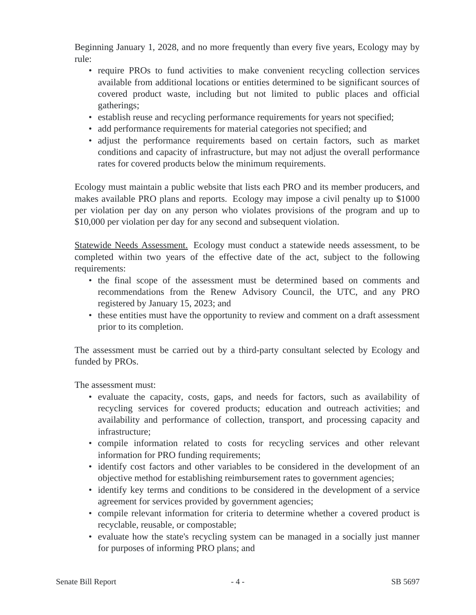Beginning January 1, 2028, and no more frequently than every five years, Ecology may by rule:

- require PROs to fund activities to make convenient recycling collection services available from additional locations or entities determined to be significant sources of covered product waste, including but not limited to public places and official gatherings;
- establish reuse and recycling performance requirements for years not specified;
- add performance requirements for material categories not specified; and
- adjust the performance requirements based on certain factors, such as market conditions and capacity of infrastructure, but may not adjust the overall performance rates for covered products below the minimum requirements.

Ecology must maintain a public website that lists each PRO and its member producers, and makes available PRO plans and reports. Ecology may impose a civil penalty up to \$1000 per violation per day on any person who violates provisions of the program and up to \$10,000 per violation per day for any second and subsequent violation.

Statewide Needs Assessment. Ecology must conduct a statewide needs assessment, to be completed within two years of the effective date of the act, subject to the following requirements:

- the final scope of the assessment must be determined based on comments and recommendations from the Renew Advisory Council, the UTC, and any PRO registered by January 15, 2023; and
- these entities must have the opportunity to review and comment on a draft assessment prior to its completion.

The assessment must be carried out by a third-party consultant selected by Ecology and funded by PROs.

The assessment must:

- evaluate the capacity, costs, gaps, and needs for factors, such as availability of recycling services for covered products; education and outreach activities; and availability and performance of collection, transport, and processing capacity and infrastructure;
- compile information related to costs for recycling services and other relevant information for PRO funding requirements;
- identify cost factors and other variables to be considered in the development of an objective method for establishing reimbursement rates to government agencies;
- identify key terms and conditions to be considered in the development of a service agreement for services provided by government agencies;
- compile relevant information for criteria to determine whether a covered product is recyclable, reusable, or compostable;
- evaluate how the state's recycling system can be managed in a socially just manner for purposes of informing PRO plans; and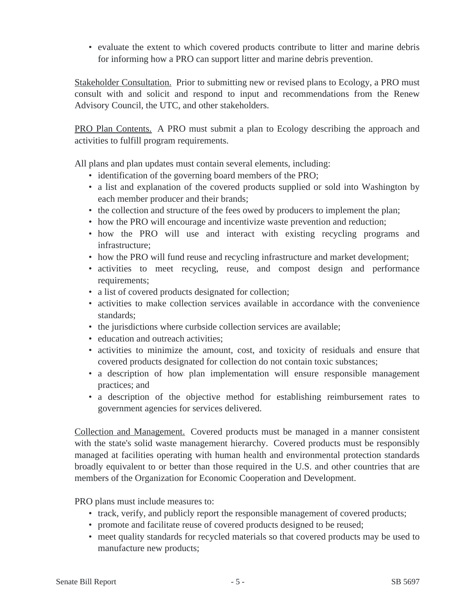• evaluate the extent to which covered products contribute to litter and marine debris for informing how a PRO can support litter and marine debris prevention.

Stakeholder Consultation. Prior to submitting new or revised plans to Ecology, a PRO must consult with and solicit and respond to input and recommendations from the Renew Advisory Council, the UTC, and other stakeholders.

PRO Plan Contents. A PRO must submit a plan to Ecology describing the approach and activities to fulfill program requirements.

All plans and plan updates must contain several elements, including:

- identification of the governing board members of the PRO;
- a list and explanation of the covered products supplied or sold into Washington by each member producer and their brands;
- the collection and structure of the fees owed by producers to implement the plan;
- how the PRO will encourage and incentivize waste prevention and reduction;
- how the PRO will use and interact with existing recycling programs and infrastructure;
- how the PRO will fund reuse and recycling infrastructure and market development;
- activities to meet recycling, reuse, and compost design and performance requirements;
- a list of covered products designated for collection;
- activities to make collection services available in accordance with the convenience standards;
- the jurisdictions where curbside collection services are available;
- education and outreach activities:
- activities to minimize the amount, cost, and toxicity of residuals and ensure that covered products designated for collection do not contain toxic substances;
- a description of how plan implementation will ensure responsible management practices; and
- a description of the objective method for establishing reimbursement rates to government agencies for services delivered.

Collection and Management. Covered products must be managed in a manner consistent with the state's solid waste management hierarchy. Covered products must be responsibly managed at facilities operating with human health and environmental protection standards broadly equivalent to or better than those required in the U.S. and other countries that are members of the Organization for Economic Cooperation and Development.

PRO plans must include measures to:

- track, verify, and publicly report the responsible management of covered products;
- promote and facilitate reuse of covered products designed to be reused;
- meet quality standards for recycled materials so that covered products may be used to manufacture new products;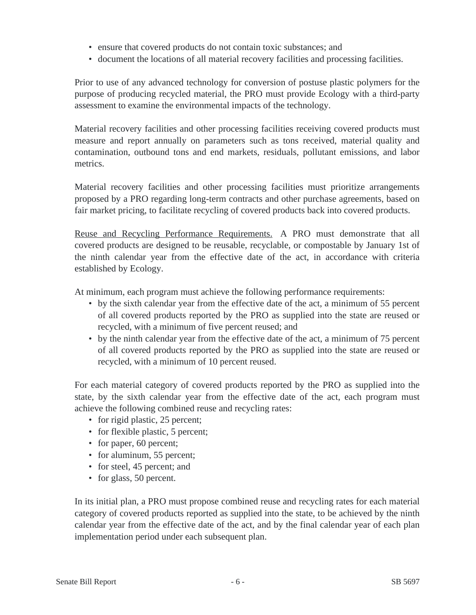- ensure that covered products do not contain toxic substances; and
- document the locations of all material recovery facilities and processing facilities.

Prior to use of any advanced technology for conversion of postuse plastic polymers for the purpose of producing recycled material, the PRO must provide Ecology with a third-party assessment to examine the environmental impacts of the technology.

Material recovery facilities and other processing facilities receiving covered products must measure and report annually on parameters such as tons received, material quality and contamination, outbound tons and end markets, residuals, pollutant emissions, and labor metrics.

Material recovery facilities and other processing facilities must prioritize arrangements proposed by a PRO regarding long-term contracts and other purchase agreements, based on fair market pricing, to facilitate recycling of covered products back into covered products.

Reuse and Recycling Performance Requirements. A PRO must demonstrate that all covered products are designed to be reusable, recyclable, or compostable by January 1st of the ninth calendar year from the effective date of the act, in accordance with criteria established by Ecology.

At minimum, each program must achieve the following performance requirements:

- by the sixth calendar year from the effective date of the act, a minimum of 55 percent of all covered products reported by the PRO as supplied into the state are reused or recycled, with a minimum of five percent reused; and
- by the ninth calendar year from the effective date of the act, a minimum of 75 percent of all covered products reported by the PRO as supplied into the state are reused or recycled, with a minimum of 10 percent reused.

For each material category of covered products reported by the PRO as supplied into the state, by the sixth calendar year from the effective date of the act, each program must achieve the following combined reuse and recycling rates:

- for rigid plastic, 25 percent;
- for flexible plastic, 5 percent;
- for paper, 60 percent;
- for aluminum, 55 percent;
- for steel, 45 percent; and
- for glass, 50 percent.

In its initial plan, a PRO must propose combined reuse and recycling rates for each material category of covered products reported as supplied into the state, to be achieved by the ninth calendar year from the effective date of the act, and by the final calendar year of each plan implementation period under each subsequent plan.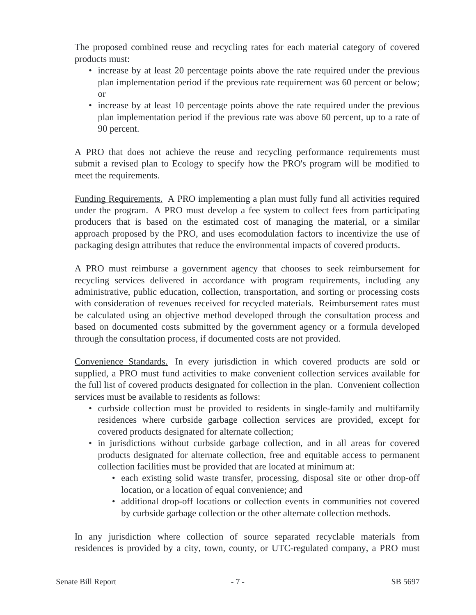The proposed combined reuse and recycling rates for each material category of covered products must:

- increase by at least 20 percentage points above the rate required under the previous plan implementation period if the previous rate requirement was 60 percent or below; or
- increase by at least 10 percentage points above the rate required under the previous plan implementation period if the previous rate was above 60 percent, up to a rate of 90 percent.

A PRO that does not achieve the reuse and recycling performance requirements must submit a revised plan to Ecology to specify how the PRO's program will be modified to meet the requirements.

Funding Requirements. A PRO implementing a plan must fully fund all activities required under the program. A PRO must develop a fee system to collect fees from participating producers that is based on the estimated cost of managing the material, or a similar approach proposed by the PRO, and uses ecomodulation factors to incentivize the use of packaging design attributes that reduce the environmental impacts of covered products.

A PRO must reimburse a government agency that chooses to seek reimbursement for recycling services delivered in accordance with program requirements, including any administrative, public education, collection, transportation, and sorting or processing costs with consideration of revenues received for recycled materials. Reimbursement rates must be calculated using an objective method developed through the consultation process and based on documented costs submitted by the government agency or a formula developed through the consultation process, if documented costs are not provided.

Convenience Standards. In every jurisdiction in which covered products are sold or supplied, a PRO must fund activities to make convenient collection services available for the full list of covered products designated for collection in the plan. Convenient collection services must be available to residents as follows:

- curbside collection must be provided to residents in single-family and multifamily residences where curbside garbage collection services are provided, except for covered products designated for alternate collection;
- in jurisdictions without curbside garbage collection, and in all areas for covered products designated for alternate collection, free and equitable access to permanent collection facilities must be provided that are located at minimum at:
	- each existing solid waste transfer, processing, disposal site or other drop-off location, or a location of equal convenience; and
	- additional drop-off locations or collection events in communities not covered by curbside garbage collection or the other alternate collection methods.

In any jurisdiction where collection of source separated recyclable materials from residences is provided by a city, town, county, or UTC-regulated company, a PRO must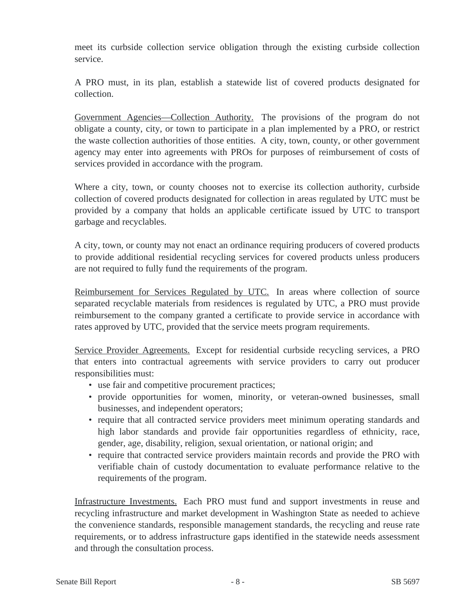meet its curbside collection service obligation through the existing curbside collection service.

A PRO must, in its plan, establish a statewide list of covered products designated for collection.

Government Agencies—Collection Authority. The provisions of the program do not obligate a county, city, or town to participate in a plan implemented by a PRO, or restrict the waste collection authorities of those entities. A city, town, county, or other government agency may enter into agreements with PROs for purposes of reimbursement of costs of services provided in accordance with the program.

Where a city, town, or county chooses not to exercise its collection authority, curbside collection of covered products designated for collection in areas regulated by UTC must be provided by a company that holds an applicable certificate issued by UTC to transport garbage and recyclables.

A city, town, or county may not enact an ordinance requiring producers of covered products to provide additional residential recycling services for covered products unless producers are not required to fully fund the requirements of the program.

Reimbursement for Services Regulated by UTC. In areas where collection of source separated recyclable materials from residences is regulated by UTC, a PRO must provide reimbursement to the company granted a certificate to provide service in accordance with rates approved by UTC, provided that the service meets program requirements.

Service Provider Agreements. Except for residential curbside recycling services, a PRO that enters into contractual agreements with service providers to carry out producer responsibilities must:

- use fair and competitive procurement practices;
- provide opportunities for women, minority, or veteran-owned businesses, small businesses, and independent operators;
- require that all contracted service providers meet minimum operating standards and high labor standards and provide fair opportunities regardless of ethnicity, race, gender, age, disability, religion, sexual orientation, or national origin; and
- require that contracted service providers maintain records and provide the PRO with verifiable chain of custody documentation to evaluate performance relative to the requirements of the program.

Infrastructure Investments. Each PRO must fund and support investments in reuse and recycling infrastructure and market development in Washington State as needed to achieve the convenience standards, responsible management standards, the recycling and reuse rate requirements, or to address infrastructure gaps identified in the statewide needs assessment and through the consultation process.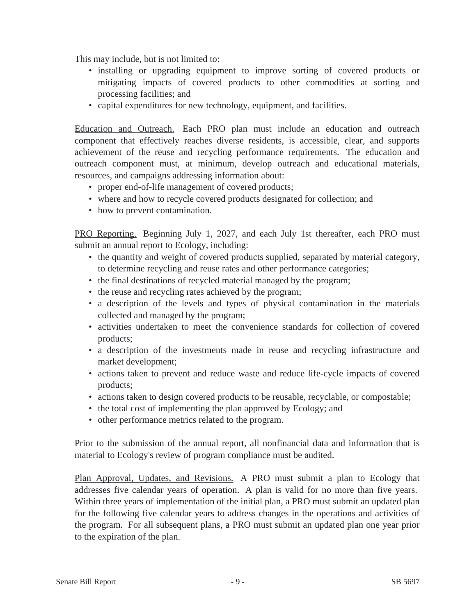This may include, but is not limited to:

- installing or upgrading equipment to improve sorting of covered products or mitigating impacts of covered products to other commodities at sorting and processing facilities; and
- capital expenditures for new technology, equipment, and facilities.

Education and Outreach. Each PRO plan must include an education and outreach component that effectively reaches diverse residents, is accessible, clear, and supports achievement of the reuse and recycling performance requirements. The education and outreach component must, at minimum, develop outreach and educational materials, resources, and campaigns addressing information about:

- proper end-of-life management of covered products;
- where and how to recycle covered products designated for collection; and
- how to prevent contamination.

PRO Reporting. Beginning July 1, 2027, and each July 1st thereafter, each PRO must submit an annual report to Ecology, including:

- the quantity and weight of covered products supplied, separated by material category, to determine recycling and reuse rates and other performance categories;
- the final destinations of recycled material managed by the program;
- the reuse and recycling rates achieved by the program;
- a description of the levels and types of physical contamination in the materials collected and managed by the program;
- activities undertaken to meet the convenience standards for collection of covered products;
- a description of the investments made in reuse and recycling infrastructure and market development;
- actions taken to prevent and reduce waste and reduce life-cycle impacts of covered products;
- actions taken to design covered products to be reusable, recyclable, or compostable;
- the total cost of implementing the plan approved by Ecology; and
- other performance metrics related to the program.

Prior to the submission of the annual report, all nonfinancial data and information that is material to Ecology's review of program compliance must be audited.

Plan Approval, Updates, and Revisions. A PRO must submit a plan to Ecology that addresses five calendar years of operation. A plan is valid for no more than five years. Within three years of implementation of the initial plan, a PRO must submit an updated plan for the following five calendar years to address changes in the operations and activities of the program. For all subsequent plans, a PRO must submit an updated plan one year prior to the expiration of the plan.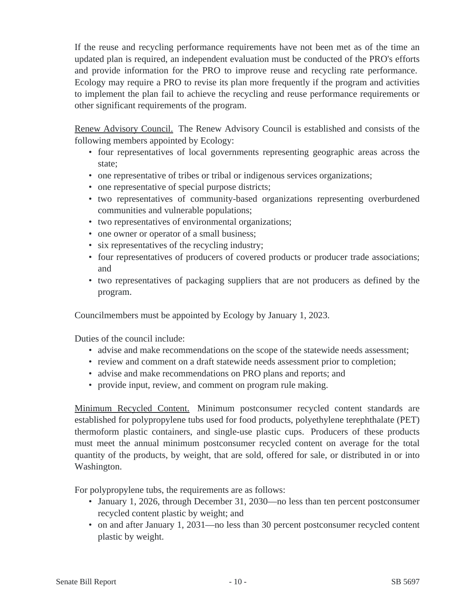If the reuse and recycling performance requirements have not been met as of the time an updated plan is required, an independent evaluation must be conducted of the PRO's efforts and provide information for the PRO to improve reuse and recycling rate performance. Ecology may require a PRO to revise its plan more frequently if the program and activities to implement the plan fail to achieve the recycling and reuse performance requirements or other significant requirements of the program.

Renew Advisory Council. The Renew Advisory Council is established and consists of the following members appointed by Ecology:

- four representatives of local governments representing geographic areas across the state;
- one representative of tribes or tribal or indigenous services organizations;
- one representative of special purpose districts;
- two representatives of community-based organizations representing overburdened communities and vulnerable populations;
- two representatives of environmental organizations;
- one owner or operator of a small business;
- six representatives of the recycling industry;
- four representatives of producers of covered products or producer trade associations; and
- two representatives of packaging suppliers that are not producers as defined by the program.

Councilmembers must be appointed by Ecology by January 1, 2023.

Duties of the council include:

- advise and make recommendations on the scope of the statewide needs assessment;
- review and comment on a draft statewide needs assessment prior to completion;
- advise and make recommendations on PRO plans and reports; and
- provide input, review, and comment on program rule making.

Minimum Recycled Content. Minimum postconsumer recycled content standards are established for polypropylene tubs used for food products, polyethylene terephthalate (PET) thermoform plastic containers, and single-use plastic cups. Producers of these products must meet the annual minimum postconsumer recycled content on average for the total quantity of the products, by weight, that are sold, offered for sale, or distributed in or into Washington.

For polypropylene tubs, the requirements are as follows:

- January 1, 2026, through December 31, 2030—no less than ten percent postconsumer recycled content plastic by weight; and
- on and after January 1, 2031—no less than 30 percent postconsumer recycled content plastic by weight.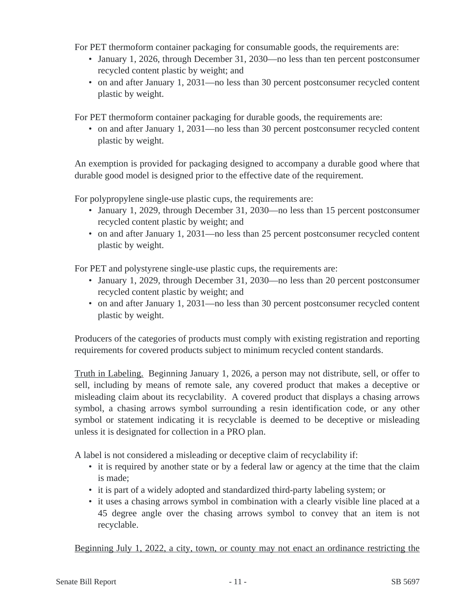For PET thermoform container packaging for consumable goods, the requirements are:

- January 1, 2026, through December 31, 2030—no less than ten percent postconsumer recycled content plastic by weight; and
- on and after January 1, 2031—no less than 30 percent postconsumer recycled content plastic by weight.

For PET thermoform container packaging for durable goods, the requirements are:

• on and after January 1, 2031—no less than 30 percent postconsumer recycled content plastic by weight.

An exemption is provided for packaging designed to accompany a durable good where that durable good model is designed prior to the effective date of the requirement.

For polypropylene single-use plastic cups, the requirements are:

- January 1, 2029, through December 31, 2030—no less than 15 percent postconsumer recycled content plastic by weight; and
- on and after January 1, 2031—no less than 25 percent postconsumer recycled content plastic by weight.

For PET and polystyrene single-use plastic cups, the requirements are:

- January 1, 2029, through December 31, 2030—no less than 20 percent postconsumer recycled content plastic by weight; and
- on and after January 1, 2031—no less than 30 percent postconsumer recycled content plastic by weight.

Producers of the categories of products must comply with existing registration and reporting requirements for covered products subject to minimum recycled content standards.

Truth in Labeling. Beginning January 1, 2026, a person may not distribute, sell, or offer to sell, including by means of remote sale, any covered product that makes a deceptive or misleading claim about its recyclability. A covered product that displays a chasing arrows symbol, a chasing arrows symbol surrounding a resin identification code, or any other symbol or statement indicating it is recyclable is deemed to be deceptive or misleading unless it is designated for collection in a PRO plan.

A label is not considered a misleading or deceptive claim of recyclability if:

- it is required by another state or by a federal law or agency at the time that the claim is made;
- it is part of a widely adopted and standardized third-party labeling system; or
- it uses a chasing arrows symbol in combination with a clearly visible line placed at a 45 degree angle over the chasing arrows symbol to convey that an item is not recyclable.

Beginning July 1, 2022, a city, town, or county may not enact an ordinance restricting the